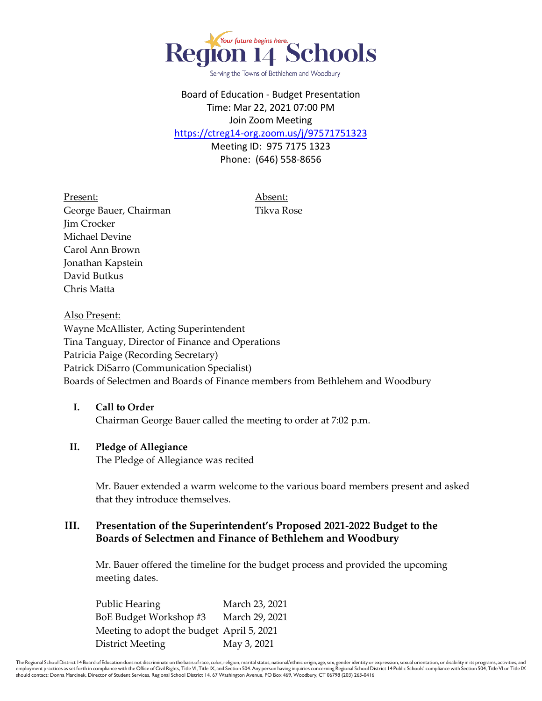

Serving the Towns of Bethlehem and Woodbury

## Board of Education - Budget Presentation Time: Mar 22, 2021 07:00 PM Join Zoom Meeting

<https://ctreg14-org.zoom.us/j/97571751323>

Meeting ID: 975 7175 1323 Phone: (646) 558-8656

Present: Absent: George Bauer, Chairman Tikva Rose Jim Crocker Michael Devine Carol Ann Brown Jonathan Kapstein David Butkus Chris Matta

Also Present: Wayne McAllister, Acting Superintendent Tina Tanguay, Director of Finance and Operations Patricia Paige (Recording Secretary) Patrick DiSarro (Communication Specialist) Boards of Selectmen and Boards of Finance members from Bethlehem and Woodbury

### **I. Call to Order**

Chairman George Bauer called the meeting to order at 7:02 p.m.

#### **II. Pledge of Allegiance**

The Pledge of Allegiance was recited

Mr. Bauer extended a warm welcome to the various board members present and asked that they introduce themselves.

### **III. Presentation of the Superintendent's Proposed 2021-2022 Budget to the Boards of Selectmen and Finance of Bethlehem and Woodbury**

Mr. Bauer offered the timeline for the budget process and provided the upcoming meeting dates.

Public Hearing March 23, 2021 BoE Budget Workshop #3 March 29, 2021 Meeting to adopt the budget April 5, 2021 District Meeting May 3, 2021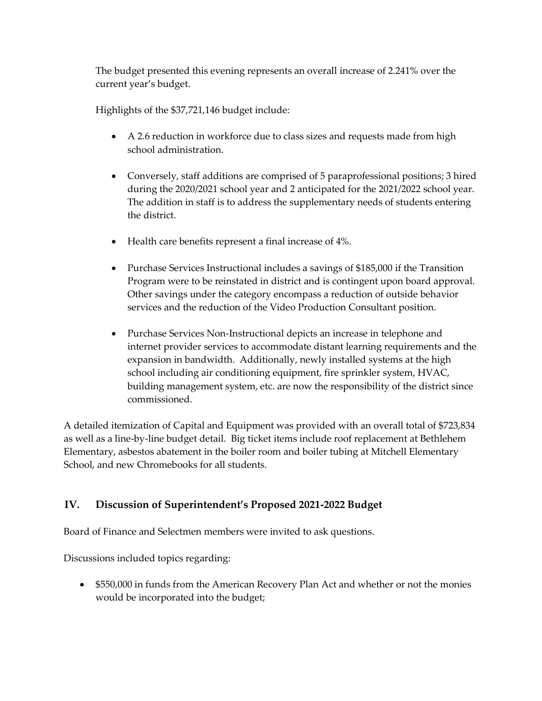The budget presented this evening represents an overall increase of 2.241% over the current year's budget.

Highlights of the \$37,721,146 budget include:

- A 2.6 reduction in workforce due to class sizes and requests made from high school administration.
- Conversely, staff additions are comprised of 5 paraprofessional positions; 3 hired during the 2020/2021 school year and 2 anticipated for the 2021/2022 school year. The addition in staff is to address the supplementary needs of students entering the district.
- Health care benefits represent a final increase of 4%.
- Purchase Services Instructional includes a savings of \$185,000 if the Transition Program were to be reinstated in district and is contingent upon board approval. Other savings under the category encompass a reduction of outside behavior services and the reduction of the Video Production Consultant position.
- Purchase Services Non-Instructional depicts an increase in telephone and internet provider services to accommodate distant learning requirements and the expansion in bandwidth. Additionally, newly installed systems at the high school including air conditioning equipment, fire sprinkler system, HVAC, building management system, etc. are now the responsibility of the district since commissioned.

A detailed itemization of Capital and Equipment was provided with an overall total of \$723,834 as well as a line-by-line budget detail. Big ticket items include roof replacement at Bethlehem Elementary, asbestos abatement in the boiler room and boiler tubing at Mitchell Elementary School, and new Chromebooks for all students.

# **IV. Discussion of Superintendent's Proposed 2021-2022 Budget**

Board of Finance and Selectmen members were invited to ask questions.

Discussions included topics regarding:

 \$550,000 in funds from the American Recovery Plan Act and whether or not the monies would be incorporated into the budget;